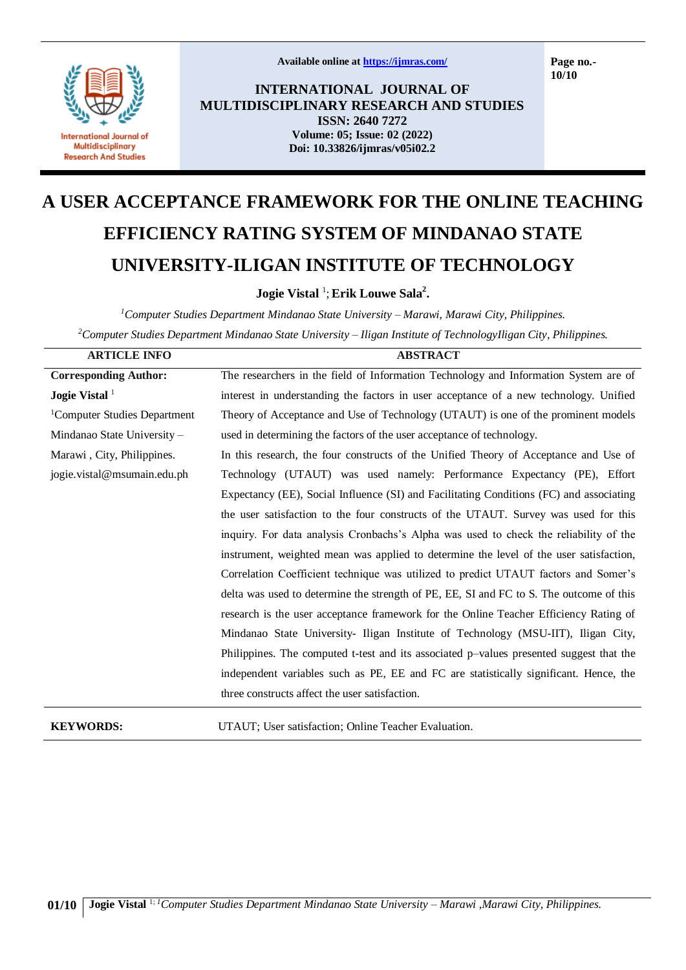

**Available online at<https://ijmras.com/>**

**Page no.- 10/10**

**INTERNATIONAL JOURNAL OF MULTIDISCIPLINARY RESEARCH AND STUDIES ISSN: 2640 7272 Volume: 05; Issue: 02 (2022) Doi: 10.33826/ijmras/v05i02.2**

# **A USER ACCEPTANCE FRAMEWORK FOR THE ONLINE TEACHING EFFICIENCY RATING SYSTEM OF MINDANAO STATE UNIVERSITY-ILIGAN INSTITUTE OF TECHNOLOGY**

**Jogie Vistal** <sup>1</sup> ;**Erik Louwe Sala<sup>2</sup> .**

*<sup>1</sup>Computer Studies Department Mindanao State University – Marawi, Marawi City, Philippines. <sup>2</sup>Computer Studies Department Mindanao State University – Iligan Institute of TechnologyIligan City, Philippines.*

| <b>ARTICLE INFO</b>                      | <b>ABSTRACT</b>                                                                         |  |  |  |
|------------------------------------------|-----------------------------------------------------------------------------------------|--|--|--|
| <b>Corresponding Author:</b>             | The researchers in the field of Information Technology and Information System are of    |  |  |  |
| Jogie Vistal $1$                         | interest in understanding the factors in user acceptance of a new technology. Unified   |  |  |  |
| <sup>1</sup> Computer Studies Department | Theory of Acceptance and Use of Technology (UTAUT) is one of the prominent models       |  |  |  |
| Mindanao State University -              | used in determining the factors of the user acceptance of technology.                   |  |  |  |
| Marawi, City, Philippines.               | In this research, the four constructs of the Unified Theory of Acceptance and Use of    |  |  |  |
| jogie.vistal@msumain.edu.ph              | Technology (UTAUT) was used namely: Performance Expectancy (PE), Effort                 |  |  |  |
|                                          | Expectancy (EE), Social Influence (SI) and Facilitating Conditions (FC) and associating |  |  |  |
|                                          | the user satisfaction to the four constructs of the UTAUT. Survey was used for this     |  |  |  |
|                                          | inquiry. For data analysis Cronbachs's Alpha was used to check the reliability of the   |  |  |  |
|                                          | instrument, weighted mean was applied to determine the level of the user satisfaction,  |  |  |  |
|                                          | Correlation Coefficient technique was utilized to predict UTAUT factors and Somer's     |  |  |  |
|                                          | delta was used to determine the strength of PE, EE, SI and FC to S. The outcome of this |  |  |  |
|                                          | research is the user acceptance framework for the Online Teacher Efficiency Rating of   |  |  |  |
|                                          | Mindanao State University- Iligan Institute of Technology (MSU-IIT), Iligan City,       |  |  |  |
|                                          | Philippines. The computed t-test and its associated p-values presented suggest that the |  |  |  |
|                                          | independent variables such as PE, EE and FC are statistically significant. Hence, the   |  |  |  |
|                                          | three constructs affect the user satisfaction.                                          |  |  |  |
|                                          |                                                                                         |  |  |  |

**KEYWORDS:** UTAUT; User satisfaction; Online Teacher Evaluation.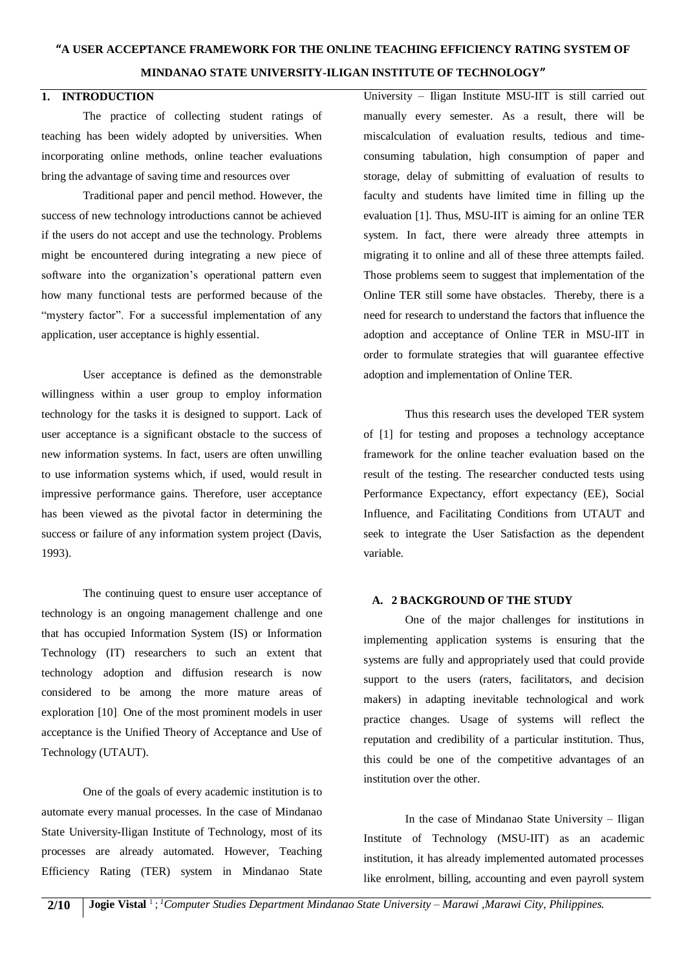### **MINDANAO STATE UNIVERSITY-ILIGAN INSTITUTE OF TECHNOLOGY"**

#### **1. INTRODUCTION**

The practice of collecting student ratings of teaching has been widely adopted by universities. When incorporating online methods, online teacher evaluations bring the advantage of saving time and resources over

Traditional paper and pencil method. However, the success of new technology introductions cannot be achieved if the users do not accept and use the technology. Problems might be encountered during integrating a new piece of software into the organization's operational pattern even how many functional tests are performed because of the "mystery factor". For a successful implementation of any application, user acceptance is highly essential.

User acceptance is defined as the demonstrable willingness within a user group to employ information technology for the tasks it is designed to support. Lack of user acceptance is a significant obstacle to the success of new information systems. In fact, users are often unwilling to use information systems which, if used, would result in impressive performance gains. Therefore, user acceptance has been viewed as the pivotal factor in determining the success or failure of any information system project (Davis, 1993).

The continuing quest to ensure user acceptance of technology is an ongoing management challenge and one that has occupied Information System (IS) or Information Technology (IT) researchers to such an extent that technology adoption and diffusion research is now considered to be among the more mature areas of exploration [10]. One of the most prominent models in user acceptance is the Unified Theory of Acceptance and Use of Technology (UTAUT).

One of the goals of every academic institution is to automate every manual processes. In the case of Mindanao State University-Iligan Institute of Technology, most of its processes are already automated. However, Teaching Efficiency Rating (TER) system in Mindanao State University – Iligan Institute MSU-IIT is still carried out manually every semester. As a result, there will be miscalculation of evaluation results, tedious and timeconsuming tabulation, high consumption of paper and storage, delay of submitting of evaluation of results to faculty and students have limited time in filling up the evaluation [1]. Thus, MSU-IIT is aiming for an online TER system. In fact, there were already three attempts in migrating it to online and all of these three attempts failed. Those problems seem to suggest that implementation of the Online TER still some have obstacles. Thereby, there is a need for research to understand the factors that influence the adoption and acceptance of Online TER in MSU-IIT in order to formulate strategies that will guarantee effective adoption and implementation of Online TER.

Thus this research uses the developed TER system of [1] for testing and proposes a technology acceptance framework for the online teacher evaluation based on the result of the testing. The researcher conducted tests using Performance Expectancy, effort expectancy (EE), Social Influence, and Facilitating Conditions from UTAUT and seek to integrate the User Satisfaction as the dependent variable.

#### **A. 2 BACKGROUND OF THE STUDY**

One of the major challenges for institutions in implementing application systems is ensuring that the systems are fully and appropriately used that could provide support to the users (raters, facilitators, and decision makers) in adapting inevitable technological and work practice changes. Usage of systems will reflect the reputation and credibility of a particular institution. Thus, this could be one of the competitive advantages of an institution over the other.

In the case of Mindanao State University – Iligan Institute of Technology (MSU-IIT) as an academic institution, it has already implemented automated processes like enrolment, billing, accounting and even payroll system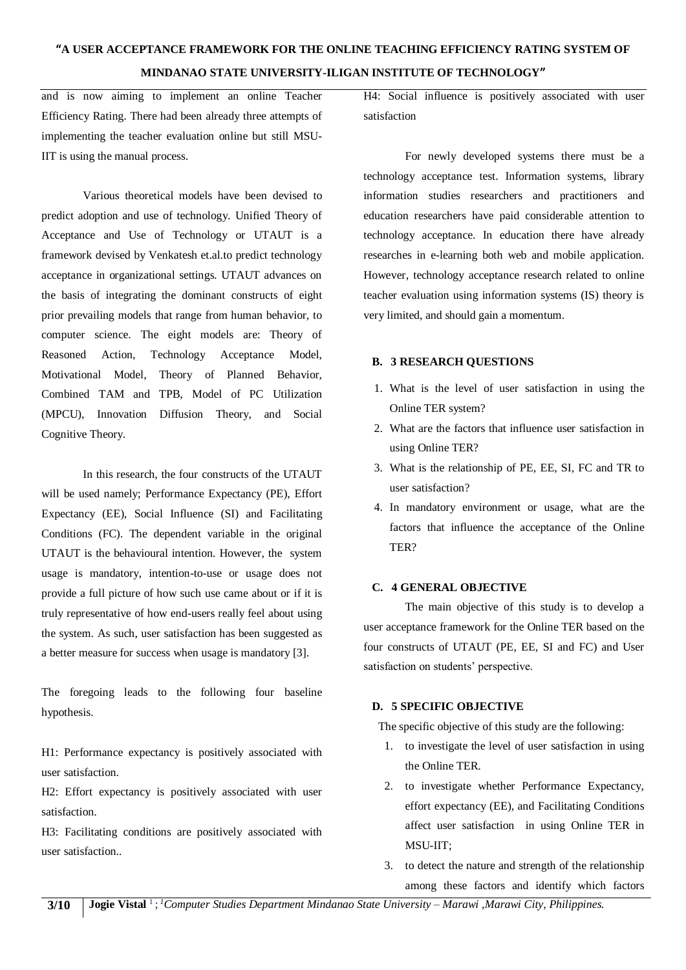and is now aiming to implement an online Teacher Efficiency Rating. There had been already three attempts of implementing the teacher evaluation online but still MSU-IIT is using the manual process.

Various theoretical models have been devised to predict adoption and use of technology. Unified Theory of Acceptance and Use of Technology or UTAUT is a framework devised by Venkatesh et.al.to predict technology acceptance in organizational settings. UTAUT advances on the basis of integrating the dominant constructs of eight prior prevailing models that range from human behavior, to computer science. The eight models are: Theory of Reasoned Action, Technology Acceptance Model, Motivational Model, Theory of Planned Behavior, Combined TAM and TPB, Model of PC Utilization (MPCU), Innovation Diffusion Theory, and Social Cognitive Theory.

In this research, the four constructs of the UTAUT will be used namely; Performance Expectancy (PE), Effort Expectancy (EE), Social Influence (SI) and Facilitating Conditions (FC). The dependent variable in the original UTAUT is the behavioural intention. However, the system usage is mandatory, intention-to-use or usage does not provide a full picture of how such use came about or if it is truly representative of how end-users really feel about using the system. As such, user satisfaction has been suggested as a better measure for success when usage is mandatory [3].

The foregoing leads to the following four baseline hypothesis.

H1: Performance expectancy is positively associated with user satisfaction.

H2: Effort expectancy is positively associated with user satisfaction.

H3: Facilitating conditions are positively associated with user satisfaction..

H4: Social influence is positively associated with user satisfaction

For newly developed systems there must be a technology acceptance test. Information systems, library information studies researchers and practitioners and education researchers have paid considerable attention to technology acceptance. In education there have already researches in e-learning both web and mobile application. However, technology acceptance research related to online teacher evaluation using information systems (IS) theory is very limited, and should gain a momentum.

### **B. 3 RESEARCH QUESTIONS**

- 1. What is the level of user satisfaction in using the Online TER system?
- 2. What are the factors that influence user satisfaction in using Online TER?
- 3. What is the relationship of PE, EE, SI, FC and TR to user satisfaction?
- 4. In mandatory environment or usage, what are the factors that influence the acceptance of the Online TER?

# **C. 4 GENERAL OBJECTIVE**

The main objective of this study is to develop a user acceptance framework for the Online TER based on the four constructs of UTAUT (PE, EE, SI and FC) and User satisfaction on students' perspective.

# **D. 5 SPECIFIC OBJECTIVE**

The specific objective of this study are the following:

- 1. to investigate the level of user satisfaction in using the Online TER.
- 2. to investigate whether Performance Expectancy, effort expectancy (EE), and Facilitating Conditions affect user satisfaction in using Online TER in MSU-IIT;
- 3. to detect the nature and strength of the relationship among these factors and identify which factors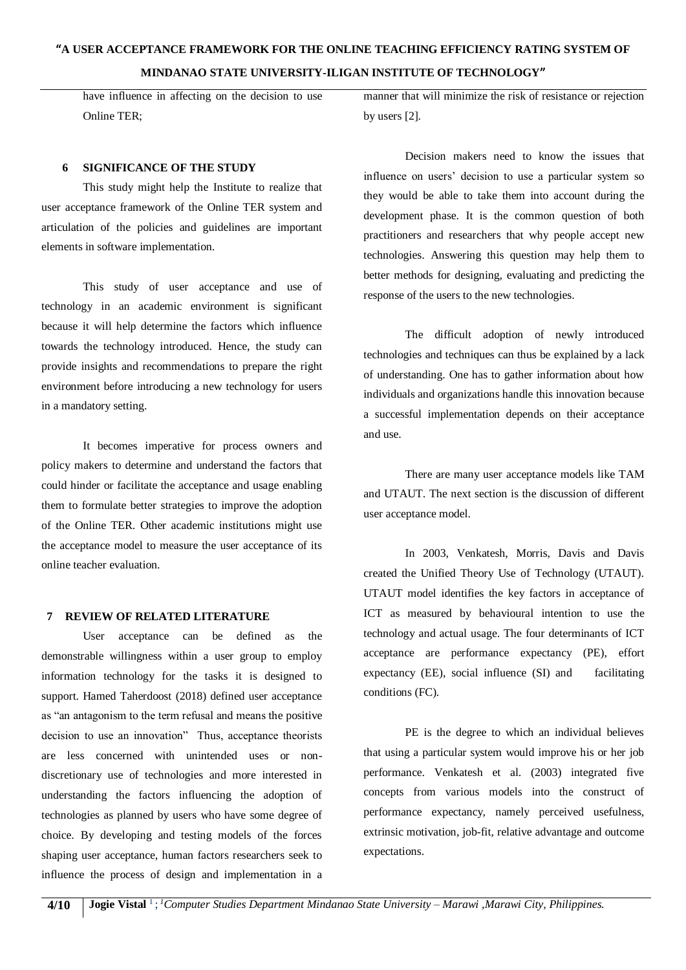have influence in affecting on the decision to use Online TER;

#### **6 SIGNIFICANCE OF THE STUDY**

This study might help the Institute to realize that user acceptance framework of the Online TER system and articulation of the policies and guidelines are important elements in software implementation.

This study of user acceptance and use of technology in an academic environment is significant because it will help determine the factors which influence towards the technology introduced. Hence, the study can provide insights and recommendations to prepare the right environment before introducing a new technology for users in a mandatory setting.

It becomes imperative for process owners and policy makers to determine and understand the factors that could hinder or facilitate the acceptance and usage enabling them to formulate better strategies to improve the adoption of the Online TER. Other academic institutions might use the acceptance model to measure the user acceptance of its online teacher evaluation.

#### **7 REVIEW OF RELATED LITERATURE**

User acceptance can be defined as the demonstrable willingness within a user group to employ information technology for the tasks it is designed to support. Hamed Taherdoost (2018) defined user acceptance as "an antagonism to the term refusal and means the positive decision to use an innovation" Thus, acceptance theorists are less concerned with unintended uses or nondiscretionary use of technologies and more interested in understanding the factors influencing the adoption of technologies as planned by users who have some degree of choice. By developing and testing models of the forces shaping user acceptance, human factors researchers seek to influence the process of design and implementation in a manner that will minimize the risk of resistance or rejection by users [2].

Decision makers need to know the issues that influence on users' decision to use a particular system so they would be able to take them into account during the development phase. It is the common question of both practitioners and researchers that why people accept new technologies. Answering this question may help them to better methods for designing, evaluating and predicting the response of the users to the new technologies.

The difficult adoption of newly introduced technologies and techniques can thus be explained by a lack of understanding. One has to gather information about how individuals and organizations handle this innovation because a successful implementation depends on their acceptance and use.

There are many user acceptance models like TAM and UTAUT. The next section is the discussion of different user acceptance model.

In 2003, Venkatesh, Morris, Davis and Davis created the Unified Theory Use of Technology (UTAUT). UTAUT model identifies the key factors in acceptance of ICT as measured by behavioural intention to use the technology and actual usage. The four determinants of ICT acceptance are performance expectancy (PE), effort expectancy (EE), social influence (SI) and facilitating conditions (FC).

PE is the degree to which an individual believes that using a particular system would improve his or her job performance. Venkatesh et al. (2003) integrated five concepts from various models into the construct of performance expectancy, namely perceived usefulness, extrinsic motivation, job-fit, relative advantage and outcome expectations.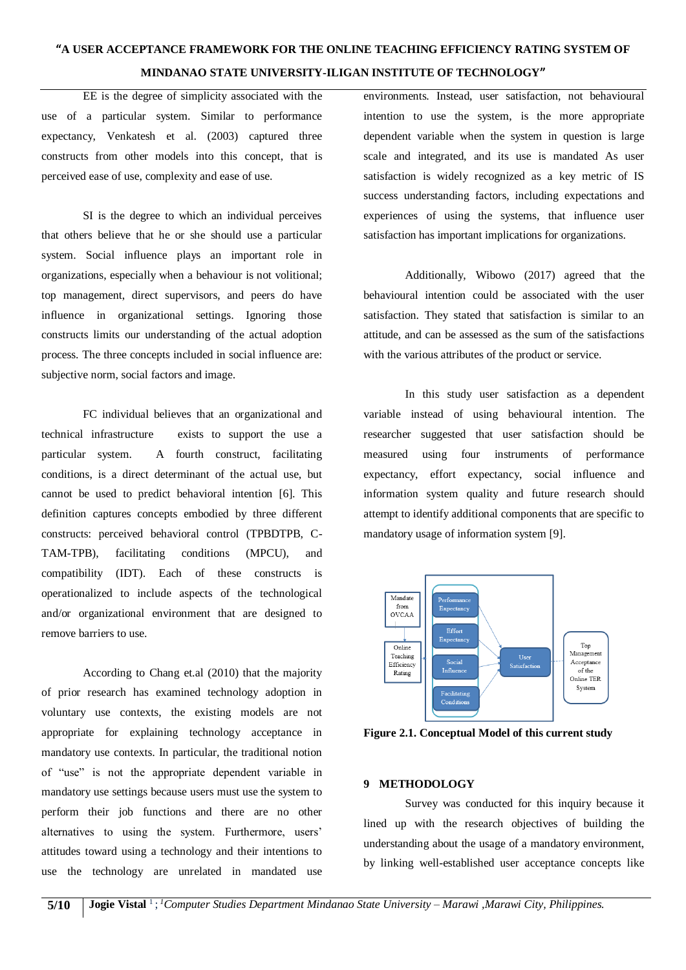EE is the degree of simplicity associated with the use of a particular system. Similar to performance expectancy, Venkatesh et al. (2003) captured three constructs from other models into this concept, that is perceived ease of use, complexity and ease of use.

SI is the degree to which an individual perceives that others believe that he or she should use a particular system. Social influence plays an important role in organizations, especially when a behaviour is not volitional; top management, direct supervisors, and peers do have influence in organizational settings. Ignoring those constructs limits our understanding of the actual adoption process. The three concepts included in social influence are: subjective norm, social factors and image.

FC individual believes that an organizational and technical infrastructure exists to support the use a particular system. A fourth construct, facilitating conditions, is a direct determinant of the actual use, but cannot be used to predict behavioral intention [6]. This definition captures concepts embodied by three different constructs: perceived behavioral control (TPBDTPB, C-TAM-TPB), facilitating conditions (MPCU), and compatibility (IDT). Each of these constructs is operationalized to include aspects of the technological and/or organizational environment that are designed to remove barriers to use.

According to Chang et.al (2010) that the majority of prior research has examined technology adoption in voluntary use contexts, the existing models are not appropriate for explaining technology acceptance in mandatory use contexts. In particular, the traditional notion of "use" is not the appropriate dependent variable in mandatory use settings because users must use the system to perform their job functions and there are no other alternatives to using the system. Furthermore, users' attitudes toward using a technology and their intentions to use the technology are unrelated in mandated use environments. Instead, user satisfaction, not behavioural intention to use the system, is the more appropriate dependent variable when the system in question is large scale and integrated, and its use is mandated As user satisfaction is widely recognized as a key metric of IS success understanding factors, including expectations and experiences of using the systems, that influence user satisfaction has important implications for organizations.

Additionally, Wibowo (2017) agreed that the behavioural intention could be associated with the user satisfaction. They stated that satisfaction is similar to an attitude, and can be assessed as the sum of the satisfactions with the various attributes of the product or service.

In this study user satisfaction as a dependent variable instead of using behavioural intention. The researcher suggested that user satisfaction should be measured using four instruments of performance expectancy, effort expectancy, social influence and information system quality and future research should attempt to identify additional components that are specific to mandatory usage of information system [9].



**Figure 2.1. Conceptual Model of this current study**

#### **9 METHODOLOGY**

Survey was conducted for this inquiry because it lined up with the research objectives of building the understanding about the usage of a mandatory environment, by linking well-established user acceptance concepts like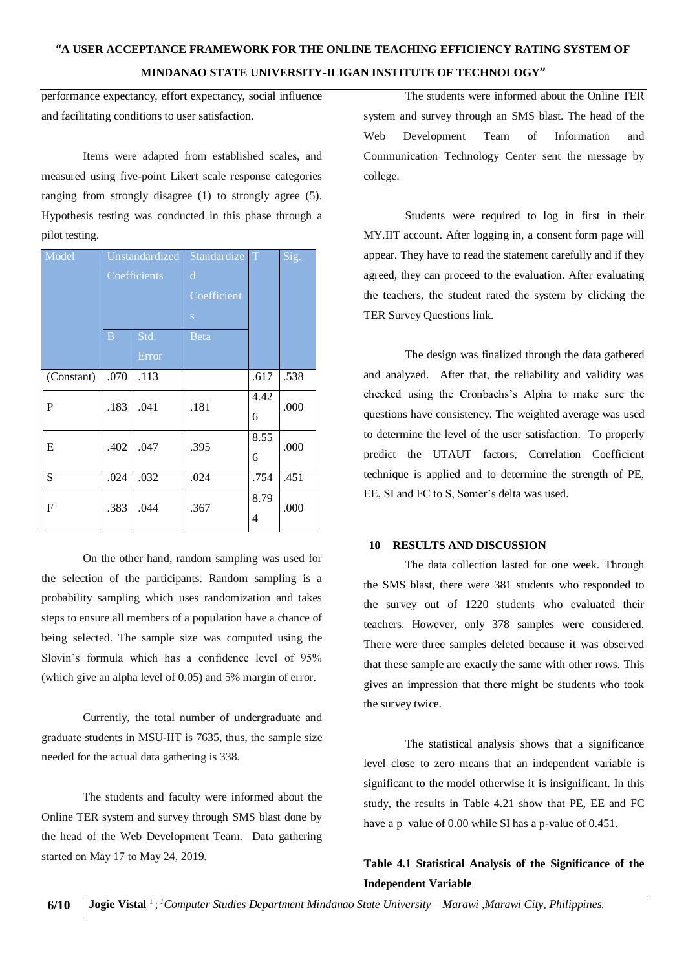performance expectancy, effort expectancy, social influence and facilitating conditions to user satisfaction.

Items were adapted from established scales, and measured using five-point Likert scale response categories ranging from strongly disagree (1) to strongly agree (5). Hypothesis testing was conducted in this phase through a pilot testing.

| Model       | <b>Unstandardized</b><br>Coefficients |               | Standardize<br>$\mathbf d$<br>Coefficient<br>S | T         | Sig. |
|-------------|---------------------------------------|---------------|------------------------------------------------|-----------|------|
|             | B                                     | Std.<br>Error | Beta                                           |           |      |
| (Constant)  | .070                                  | .113          |                                                | .617      | .538 |
| $\mathbf P$ | .183                                  | .041          | .181                                           | 4.42<br>6 | .000 |
| ${\bf E}$   | .402                                  | .047          | .395                                           | 8.55<br>6 | .000 |
| S           | .024                                  | .032          | .024                                           | .754      | .451 |
| $\mathbf F$ | .383                                  | .044          | .367                                           | 8.79<br>4 | .000 |

On the other hand, random sampling was used for the selection of the participants. Random sampling is a probability sampling which uses randomization and takes steps to ensure all members of a population have a chance of being selected. The sample size was computed using the Slovin's formula which has a confidence level of 95% (which give an alpha level of 0.05) and 5% margin of error.

Currently, the total number of undergraduate and graduate students in MSU-IIT is 7635, thus, the sample size needed for the actual data gathering is 338.

The students and faculty were informed about the Online TER system and survey through SMS blast done by the head of the Web Development Team. Data gathering started on May 17 to May 24, 2019.

The students were informed about the Online TER system and survey through an SMS blast. The head of the Web Development Team of Information and Communication Technology Center sent the message by college.

Students were required to log in first in their MY.IIT account. After logging in, a consent form page will appear. They have to read the statement carefully and if they agreed, they can proceed to the evaluation. After evaluating the teachers, the student rated the system by clicking the TER Survey Questions link.

The design was finalized through the data gathered and analyzed. After that, the reliability and validity was checked using the Cronbachs's Alpha to make sure the questions have consistency. The weighted average was used to determine the level of the user satisfaction. To properly predict the UTAUT factors, Correlation Coefficient technique is applied and to determine the strength of PE, EE, SI and FC to S, Somer's delta was used.

#### **10 RESULTS AND DISCUSSION**

The data collection lasted for one week. Through the SMS blast, there were 381 students who responded to the survey out of 1220 students who evaluated their teachers. However, only 378 samples were considered. There were three samples deleted because it was observed that these sample are exactly the same with other rows. This gives an impression that there might be students who took the survey twice.

The statistical analysis shows that a significance level close to zero means that an independent variable is significant to the model otherwise it is insignificant. In this study, the results in Table 4.21 show that PE, EE and FC have a p–value of 0.00 while SI has a p-value of 0.451.

# **Table 4.1 Statistical Analysis of the Significance of the Independent Variable**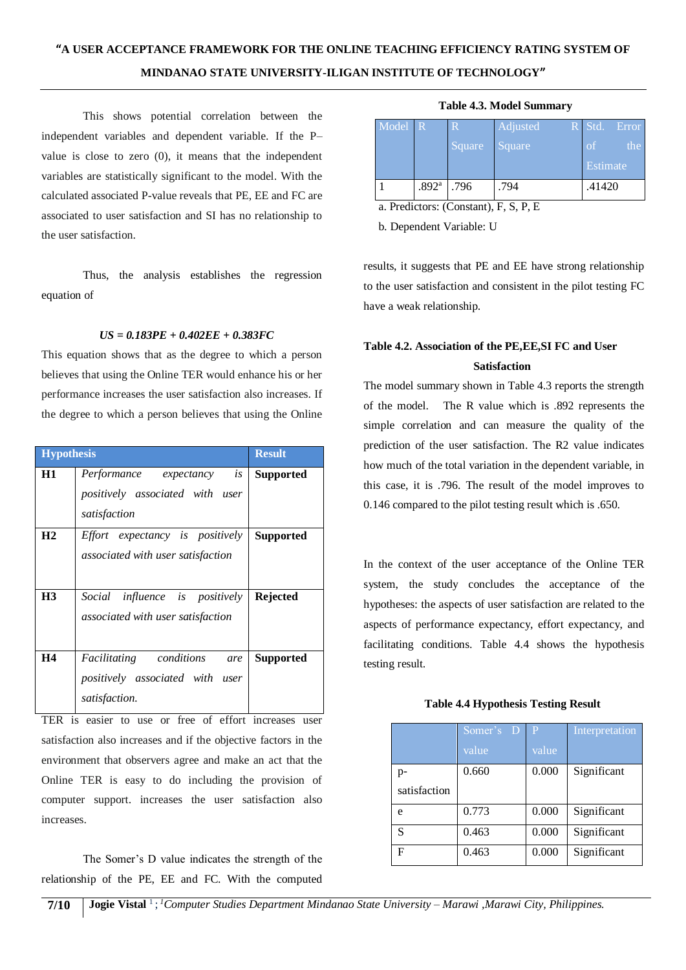This shows potential correlation between the independent variables and dependent variable. If the P– value is close to zero (0), it means that the independent variables are statistically significant to the model. With the calculated associated P-value reveals that PE, EE and FC are associated to user satisfaction and SI has no relationship to the user satisfaction.

Thus, the analysis establishes the regression equation of

#### *US = 0.183PE + 0.402EE + 0.383FC*

This equation shows that as the degree to which a person believes that using the Online TER would enhance his or her performance increases the user satisfaction also increases. If the degree to which a person believes that using the Online

| <b>Hypothesis</b> |                                                                                           | <b>Result</b>    |
|-------------------|-------------------------------------------------------------------------------------------|------------------|
| H1                | Performance expectancy<br>is<br>positively associated with user<br>satisfaction           | <b>Supported</b> |
| H <sub>2</sub>    | Effort expectancy is positively<br>associated with user satisfaction                      | <b>Supported</b> |
| H <sub>3</sub>    | Social influence is positively<br>associated with user satisfaction                       | Rejected         |
| H4                | <i>Facilitating conditions</i><br>are<br>positively associated with user<br>satisfaction. | <b>Supported</b> |

TER is easier to use or free of effort increases user satisfaction also increases and if the objective factors in the environment that observers agree and make an act that the Online TER is easy to do including the provision of computer support. increases the user satisfaction also increases.

The Somer's D value indicates the strength of the relationship of the PE, EE and FC. With the computed

|  |  | <b>Table 4.3. Model Summary</b> |
|--|--|---------------------------------|
|--|--|---------------------------------|

| Model R |                   | R.     | Adjusted | $R$ Std.<br>Error    |
|---------|-------------------|--------|----------|----------------------|
|         |                   | Square | Square   | the<br><sub>of</sub> |
|         |                   |        |          | Estimate             |
|         | .892 <sup>a</sup> | .796   | .794     | .41420               |

a. Predictors: (Constant), F, S, P, E

b. Dependent Variable: U

results, it suggests that PE and EE have strong relationship to the user satisfaction and consistent in the pilot testing FC have a weak relationship.

# **Table 4.2. Association of the PE,EE,SI FC and User Satisfaction**

The model summary shown in Table 4.3 reports the strength of the model. The R value which is .892 represents the simple correlation and can measure the quality of the prediction of the user satisfaction. The R2 value indicates how much of the total variation in the dependent variable, in this case, it is .796. The result of the model improves to 0.146 compared to the pilot testing result which is .650.

In the context of the user acceptance of the Online TER system, the study concludes the acceptance of the hypotheses: the aspects of user satisfaction are related to the aspects of performance expectancy, effort expectancy, and facilitating conditions. Table 4.4 shows the hypothesis testing result.

#### **Table 4.4 Hypothesis Testing Result**

|              | Somer's D | P     | Interpretation |
|--------------|-----------|-------|----------------|
|              | value     | value |                |
| p-           | 0.660     | 0.000 | Significant    |
| satisfaction |           |       |                |
| e            | 0.773     | 0.000 | Significant    |
| S            | 0.463     | 0.000 | Significant    |
| F            | 0.463     | 0.000 | Significant    |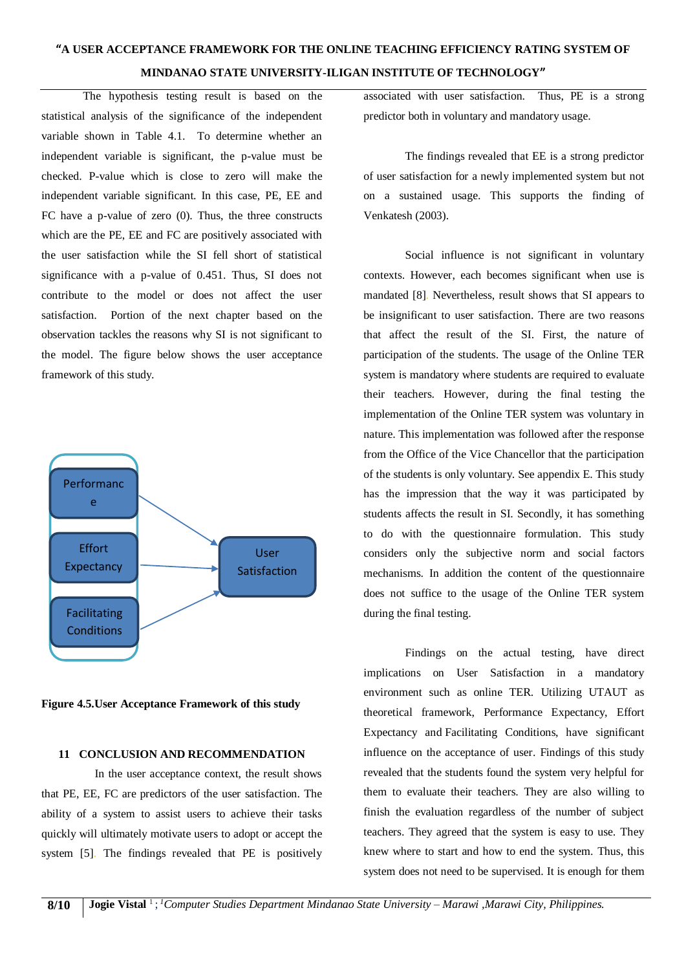The hypothesis testing result is based on the statistical analysis of the significance of the independent variable shown in Table 4.1. To determine whether an independent variable is significant, the p-value must be checked. P-value which is close to zero will make the independent variable significant. In this case, PE, EE and FC have a p-value of zero (0). Thus, the three constructs which are the PE, EE and FC are positively associated with the user satisfaction while the SI fell short of statistical significance with a p-value of 0.451. Thus, SI does not contribute to the model or does not affect the user satisfaction. Portion of the next chapter based on the observation tackles the reasons why SI is not significant to the model. The figure below shows the user acceptance framework of this study.



**Figure 4.5.User Acceptance Framework of this study**

# **11 CONCLUSION AND RECOMMENDATION**

 In the user acceptance context, the result shows that PE, EE, FC are predictors of the user satisfaction. The ability of a system to assist users to achieve their tasks quickly will ultimately motivate users to adopt or accept the system [5]. The findings revealed that PE is positively

associated with user satisfaction. Thus, PE is a strong predictor both in voluntary and mandatory usage.

The findings revealed that EE is a strong predictor of user satisfaction for a newly implemented system but not on a sustained usage. This supports the finding of Venkatesh (2003).

Social influence is not significant in voluntary contexts. However, each becomes significant when use is mandated [8]. Nevertheless, result shows that SI appears to be insignificant to user satisfaction. There are two reasons that affect the result of the SI. First, the nature of participation of the students. The usage of the Online TER system is mandatory where students are required to evaluate their teachers. However, during the final testing the implementation of the Online TER system was voluntary in nature. This implementation was followed after the response from the Office of the Vice Chancellor that the participation of the students is only voluntary. See appendix E. This study has the impression that the way it was participated by students affects the result in SI. Secondly, it has something to do with the questionnaire formulation. This study considers only the subjective norm and social factors mechanisms. In addition the content of the questionnaire does not suffice to the usage of the Online TER system during the final testing.

Findings on the actual testing, have direct implications on User Satisfaction in a mandatory environment such as online TER. Utilizing UTAUT as theoretical framework, Performance Expectancy, Effort Expectancy and Facilitating Conditions, have significant influence on the acceptance of user. Findings of this study revealed that the students found the system very helpful for them to evaluate their teachers. They are also willing to finish the evaluation regardless of the number of subject teachers. They agreed that the system is easy to use. They knew where to start and how to end the system. Thus, this system does not need to be supervised. It is enough for them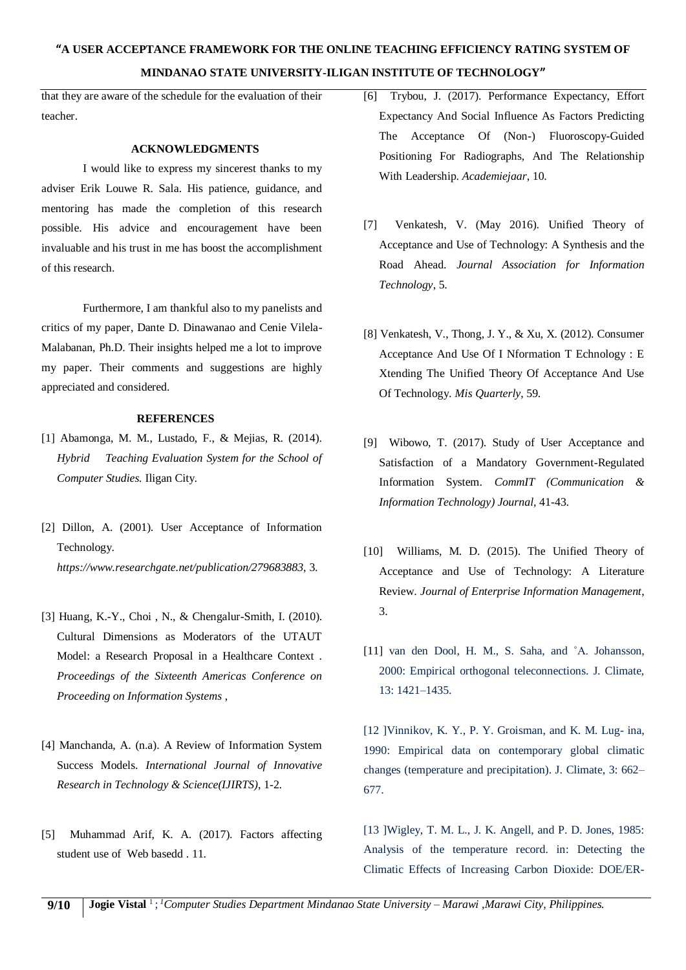that they are aware of the schedule for the evaluation of their teacher.

#### **ACKNOWLEDGMENTS**

I would like to express my sincerest thanks to my adviser Erik Louwe R. Sala. His patience, guidance, and mentoring has made the completion of this research possible. His advice and encouragement have been invaluable and his trust in me has boost the accomplishment of this research.

Furthermore, I am thankful also to my panelists and critics of my paper, Dante D. Dinawanao and Cenie Vilela-Malabanan, Ph.D. Their insights helped me a lot to improve my paper. Their comments and suggestions are highly appreciated and considered.

#### **REFERENCES**

- [1] Abamonga, M. M., Lustado, F., & Mejias, R. (2014). *Hybrid Teaching Evaluation System for the School of Computer Studies.* Iligan City.
- [2] Dillon, A. (2001). User Acceptance of Information Technology. *https://www.researchgate.net/publication/279683883*, 3.
- [3] Huang, K.-Y., Choi , N., & Chengalur-Smith, I. (2010). Cultural Dimensions as Moderators of the UTAUT Model: a Research Proposal in a Healthcare Context . *Proceedings of the Sixteenth Americas Conference on Proceeding on Information Systems* ,
- [4] Manchanda, A. (n.a). A Review of Information System Success Models. *International Journal of Innovative Research in Technology & Science(IJIRTS)*, 1-2.
- [5] Muhammad Arif, K. A. (2017). Factors affecting student use of Web basedd . 11.
- [6] Trybou, J. (2017). Performance Expectancy, Effort Expectancy And Social Influence As Factors Predicting The Acceptance Of (Non-) Fluoroscopy-Guided Positioning For Radiographs, And The Relationship With Leadership. *Academiejaar*, 10.
- [7] Venkatesh, V. (May 2016). Unified Theory of Acceptance and Use of Technology: A Synthesis and the Road Ahead. *Journal Association for Information Technology*, 5.
- [8] Venkatesh, V., Thong, J. Y., & Xu, X. (2012). Consumer Acceptance And Use Of I Nformation T Echnology : E Xtending The Unified Theory Of Acceptance And Use Of Technology. *Mis Quarterly*, 59.
- [9] Wibowo, T. (2017). Study of User Acceptance and Satisfaction of a Mandatory Government-Regulated Information System. *CommIT (Communication & Information Technology) Journal*, 41-43.
- [10] Williams, M. D. (2015). The Unified Theory of Acceptance and Use of Technology: A Literature Review. *Journal of Enterprise Information Management*, 3.
- [11] van den Dool, H. M., S. Saha, and ˚A. Johansson, 2000: Empirical orthogonal teleconnections. J. Climate, 13: 1421–1435.

[12 ]Vinnikov, K. Y., P. Y. Groisman, and K. M. Lug- ina, 1990: Empirical data on contemporary global climatic changes (temperature and precipitation). J. Climate, 3: 662– 677.

[13 ]Wigley, T. M. L., J. K. Angell, and P. D. Jones, 1985: Analysis of the temperature record. in: Detecting the Climatic Effects of Increasing Carbon Dioxide: DOE/ER-